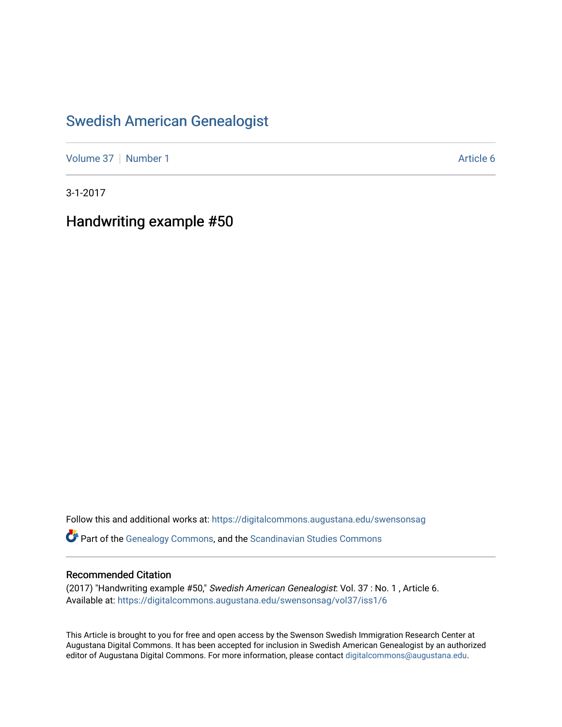## [Swedish American Genealogist](https://digitalcommons.augustana.edu/swensonsag)

[Volume 37](https://digitalcommons.augustana.edu/swensonsag/vol37) | [Number 1](https://digitalcommons.augustana.edu/swensonsag/vol37/iss1) Article 6

3-1-2017

Handwriting example #50

Follow this and additional works at: [https://digitalcommons.augustana.edu/swensonsag](https://digitalcommons.augustana.edu/swensonsag?utm_source=digitalcommons.augustana.edu%2Fswensonsag%2Fvol37%2Fiss1%2F6&utm_medium=PDF&utm_campaign=PDFCoverPages) 

Part of the [Genealogy Commons,](http://network.bepress.com/hgg/discipline/1342?utm_source=digitalcommons.augustana.edu%2Fswensonsag%2Fvol37%2Fiss1%2F6&utm_medium=PDF&utm_campaign=PDFCoverPages) and the [Scandinavian Studies Commons](http://network.bepress.com/hgg/discipline/485?utm_source=digitalcommons.augustana.edu%2Fswensonsag%2Fvol37%2Fiss1%2F6&utm_medium=PDF&utm_campaign=PDFCoverPages)

## Recommended Citation

(2017) "Handwriting example #50," Swedish American Genealogist: Vol. 37 : No. 1 , Article 6. Available at: [https://digitalcommons.augustana.edu/swensonsag/vol37/iss1/6](https://digitalcommons.augustana.edu/swensonsag/vol37/iss1/6?utm_source=digitalcommons.augustana.edu%2Fswensonsag%2Fvol37%2Fiss1%2F6&utm_medium=PDF&utm_campaign=PDFCoverPages) 

This Article is brought to you for free and open access by the Swenson Swedish Immigration Research Center at Augustana Digital Commons. It has been accepted for inclusion in Swedish American Genealogist by an authorized editor of Augustana Digital Commons. For more information, please contact [digitalcommons@augustana.edu.](mailto:digitalcommons@augustana.edu)